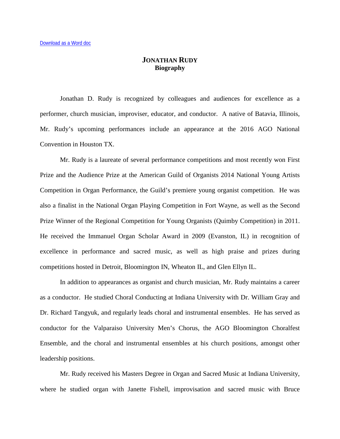## **JONATHAN RUDY Biography**

Jonathan D. Rudy is recognized by colleagues and audiences for excellence as a performer, church musician, improviser, educator, and conductor. A native of Batavia, Illinois, Mr. Rudy's upcoming performances include an appearance at the 2016 AGO National Convention in Houston TX.

Mr. Rudy is a laureate of several performance competitions and most recently won First Prize and the Audience Prize at the American Guild of Organists 2014 National Young Artists Competition in Organ Performance, the Guild's premiere young organist competition. He was also a finalist in the National Organ Playing Competition in Fort Wayne, as well as the Second Prize Winner of the Regional Competition for Young Organists (Quimby Competition) in 2011. He received the Immanuel Organ Scholar Award in 2009 (Evanston, IL) in recognition of excellence in performance and sacred music, as well as high praise and prizes during competitions hosted in Detroit, Bloomington IN, Wheaton IL, and Glen Ellyn IL.

In addition to appearances as organist and church musician, Mr. Rudy maintains a career as a conductor. He studied Choral Conducting at Indiana University with Dr. William Gray and Dr. Richard Tangyuk, and regularly leads choral and instrumental ensembles. He has served as conductor for the Valparaiso University Men's Chorus, the AGO Bloomington Choralfest Ensemble, and the choral and instrumental ensembles at his church positions, amongst other leadership positions.

Mr. Rudy received his Masters Degree in Organ and Sacred Music at Indiana University, where he studied organ with Janette Fishell, improvisation and sacred music with Bruce